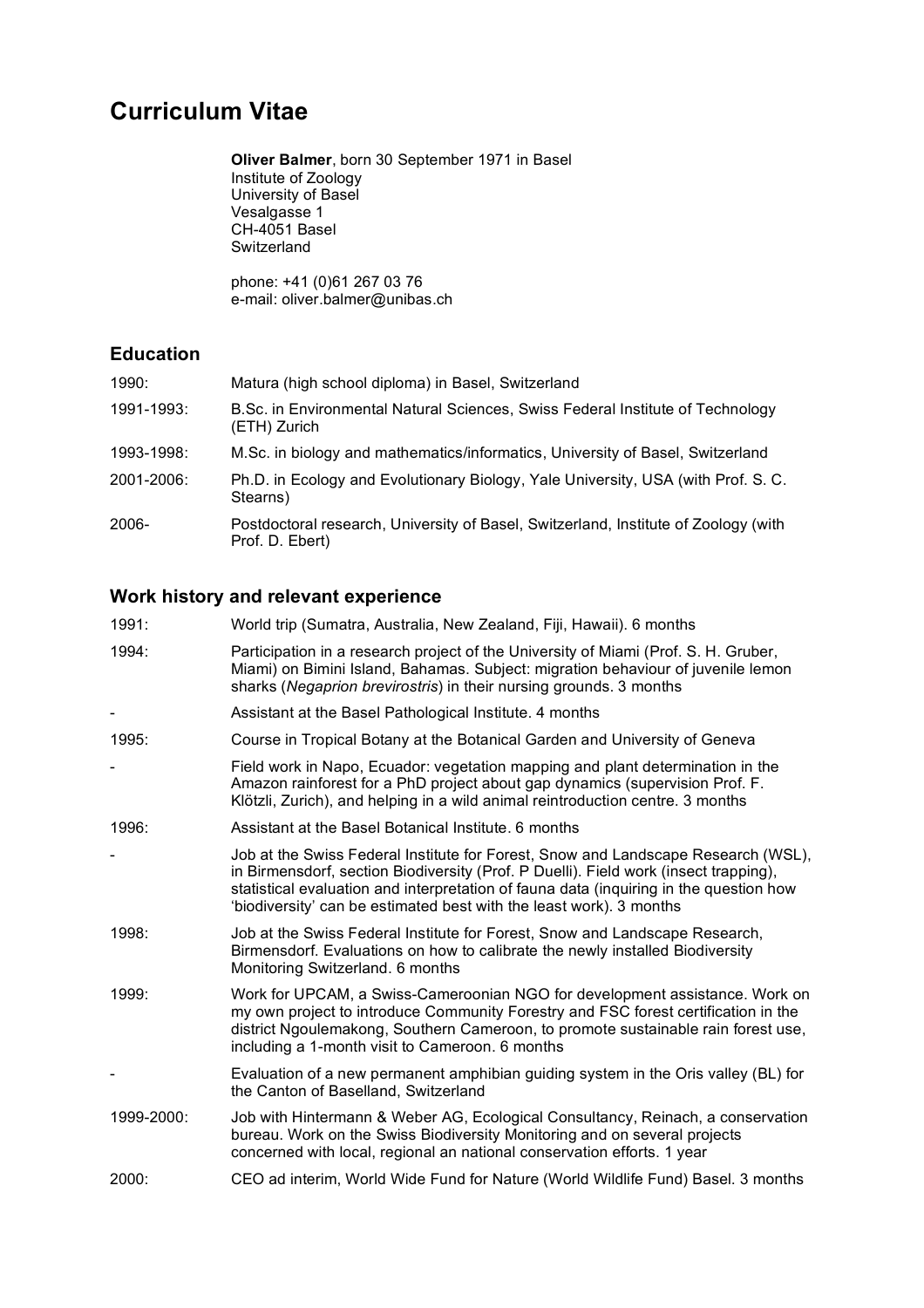# **Curriculum Vitae**

**Oliver Balmer**, born 30 September 1971 in Basel Institute of Zoology University of Basel Vesalgasse 1 CH-4051 Basel Switzerland

phone: +41 (0)61 267 03 76 e-mail: oliver.balmer@unibas.ch

### **Education**

| 1990:      | Matura (high school diploma) in Basel, Switzerland                                                     |
|------------|--------------------------------------------------------------------------------------------------------|
| 1991-1993: | B.Sc. in Environmental Natural Sciences, Swiss Federal Institute of Technology<br>(ETH) Zurich         |
| 1993-1998: | M.Sc. in biology and mathematics/informatics, University of Basel, Switzerland                         |
| 2001-2006: | Ph.D. in Ecology and Evolutionary Biology, Yale University, USA (with Prof. S. C.<br>Stearns)          |
| 2006-      | Postdoctoral research, University of Basel, Switzerland, Institute of Zoology (with<br>Prof. D. Ebert) |

# **Work history and relevant experience**

| 1991:      | World trip (Sumatra, Australia, New Zealand, Fiji, Hawaii). 6 months                                                                                                                                                                                                                                                                       |
|------------|--------------------------------------------------------------------------------------------------------------------------------------------------------------------------------------------------------------------------------------------------------------------------------------------------------------------------------------------|
| 1994:      | Participation in a research project of the University of Miami (Prof. S. H. Gruber,<br>Miami) on Bimini Island, Bahamas. Subject: migration behaviour of juvenile lemon<br>sharks (Negaprion brevirostris) in their nursing grounds. 3 months                                                                                              |
|            | Assistant at the Basel Pathological Institute. 4 months                                                                                                                                                                                                                                                                                    |
| 1995:      | Course in Tropical Botany at the Botanical Garden and University of Geneva                                                                                                                                                                                                                                                                 |
|            | Field work in Napo, Ecuador: vegetation mapping and plant determination in the<br>Amazon rainforest for a PhD project about gap dynamics (supervision Prof. F.<br>Klötzli, Zurich), and helping in a wild animal reintroduction centre. 3 months                                                                                           |
| 1996:      | Assistant at the Basel Botanical Institute, 6 months                                                                                                                                                                                                                                                                                       |
| -          | Job at the Swiss Federal Institute for Forest, Snow and Landscape Research (WSL),<br>in Birmensdorf, section Biodiversity (Prof. P Duelli). Field work (insect trapping),<br>statistical evaluation and interpretation of fauna data (inquiring in the question how<br>'biodiversity' can be estimated best with the least work). 3 months |
| 1998:      | Job at the Swiss Federal Institute for Forest, Snow and Landscape Research,<br>Birmensdorf. Evaluations on how to calibrate the newly installed Biodiversity<br>Monitoring Switzerland. 6 months                                                                                                                                           |
| 1999:      | Work for UPCAM, a Swiss-Cameroonian NGO for development assistance. Work on<br>my own project to introduce Community Forestry and FSC forest certification in the<br>district Ngoulemakong, Southern Cameroon, to promote sustainable rain forest use,<br>including a 1-month visit to Cameroon. 6 months                                  |
|            | Evaluation of a new permanent amphibian guiding system in the Oris valley (BL) for<br>the Canton of Baselland, Switzerland                                                                                                                                                                                                                 |
| 1999-2000: | Job with Hintermann & Weber AG, Ecological Consultancy, Reinach, a conservation<br>bureau. Work on the Swiss Biodiversity Monitoring and on several projects<br>concerned with local, regional an national conservation efforts. 1 year                                                                                                    |
| 2000:      | CEO ad interim, World Wide Fund for Nature (World Wildlife Fund) Basel. 3 months                                                                                                                                                                                                                                                           |
|            |                                                                                                                                                                                                                                                                                                                                            |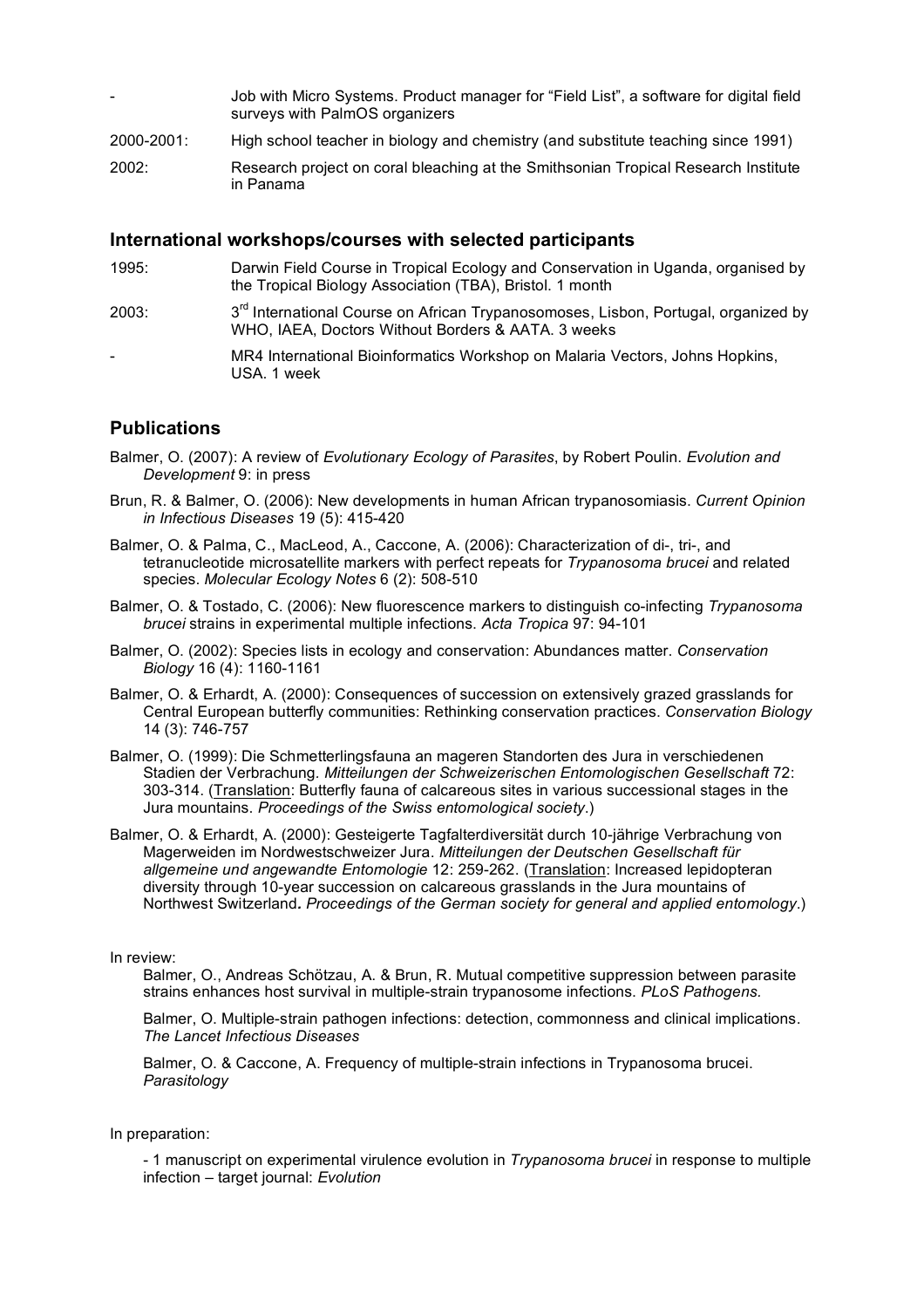- Job with Micro Systems. Product manager for "Field List", a software for digital field surveys with PalmOS organizers
- 2000-2001: High school teacher in biology and chemistry (and substitute teaching since 1991)
- 2002: Research project on coral bleaching at the Smithsonian Tropical Research Institute in Panama

#### **International workshops/courses with selected participants**

- 1995: Darwin Field Course in Tropical Ecology and Conservation in Uganda, organised by the Tropical Biology Association (TBA), Bristol. 1 month
- 2003: 3<sup>rd</sup> International Course on African Trypanosomoses, Lisbon, Portugal, organized by WHO, IAEA, Doctors Without Borders & AATA. 3 weeks
- MR4 International Bioinformatics Workshop on Malaria Vectors, Johns Hopkins, USA. 1 week

#### **Publications**

- Balmer, O. (2007): A review of *Evolutionary Ecology of Parasites*, by Robert Poulin. *Evolution and Development* 9: in press
- Brun, R. & Balmer, O. (2006): New developments in human African trypanosomiasis. *Current Opinion in Infectious Diseases* 19 (5): 415-420
- Balmer, O. & Palma, C., MacLeod, A., Caccone, A. (2006): Characterization of di-, tri-, and tetranucleotide microsatellite markers with perfect repeats for *Trypanosoma brucei* and related species. *Molecular Ecology Notes* 6 (2): 508-510
- Balmer, O. & Tostado, C. (2006): New fluorescence markers to distinguish co-infecting *Trypanosoma brucei* strains in experimental multiple infections. *Acta Tropica* 97: 94-101
- Balmer, O. (2002): Species lists in ecology and conservation: Abundances matter. *Conservation Biology* 16 (4): 1160-1161
- Balmer, O. & Erhardt, A. (2000): Consequences of succession on extensively grazed grasslands for Central European butterfly communities: Rethinking conservation practices. *Conservation Biology* 14 (3): 746-757
- Balmer, O. (1999): Die Schmetterlingsfauna an mageren Standorten des Jura in verschiedenen Stadien der Verbrachung*. Mitteilungen der Schweizerischen Entomologischen Gesellschaft* 72: 303-314. (Translation: Butterfly fauna of calcareous sites in various successional stages in the Jura mountains. *Proceedings of the Swiss entomological society*.)
- Balmer, O. & Erhardt, A. (2000): Gesteigerte Tagfalterdiversität durch 10-jährige Verbrachung von Magerweiden im Nordwestschweizer Jura. *Mitteilungen der Deutschen Gesellschaft für allgemeine und angewandte Entomologie* 12: 259-262. (Translation: Increased lepidopteran diversity through 10-year succession on calcareous grasslands in the Jura mountains of Northwest Switzerland*. Proceedings of the German society for general and applied entomology*.)

In review:

Balmer, O., Andreas Schötzau, A. & Brun, R. Mutual competitive suppression between parasite strains enhances host survival in multiple-strain trypanosome infections. *PLoS Pathogens.*

Balmer, O. Multiple-strain pathogen infections: detection, commonness and clinical implications. *The Lancet Infectious Diseases*

Balmer, O. & Caccone, A. Frequency of multiple-strain infections in Trypanosoma brucei. *Parasitology*

In preparation:

- 1 manuscript on experimental virulence evolution in *Trypanosoma brucei* in response to multiple infection – target journal: *Evolution*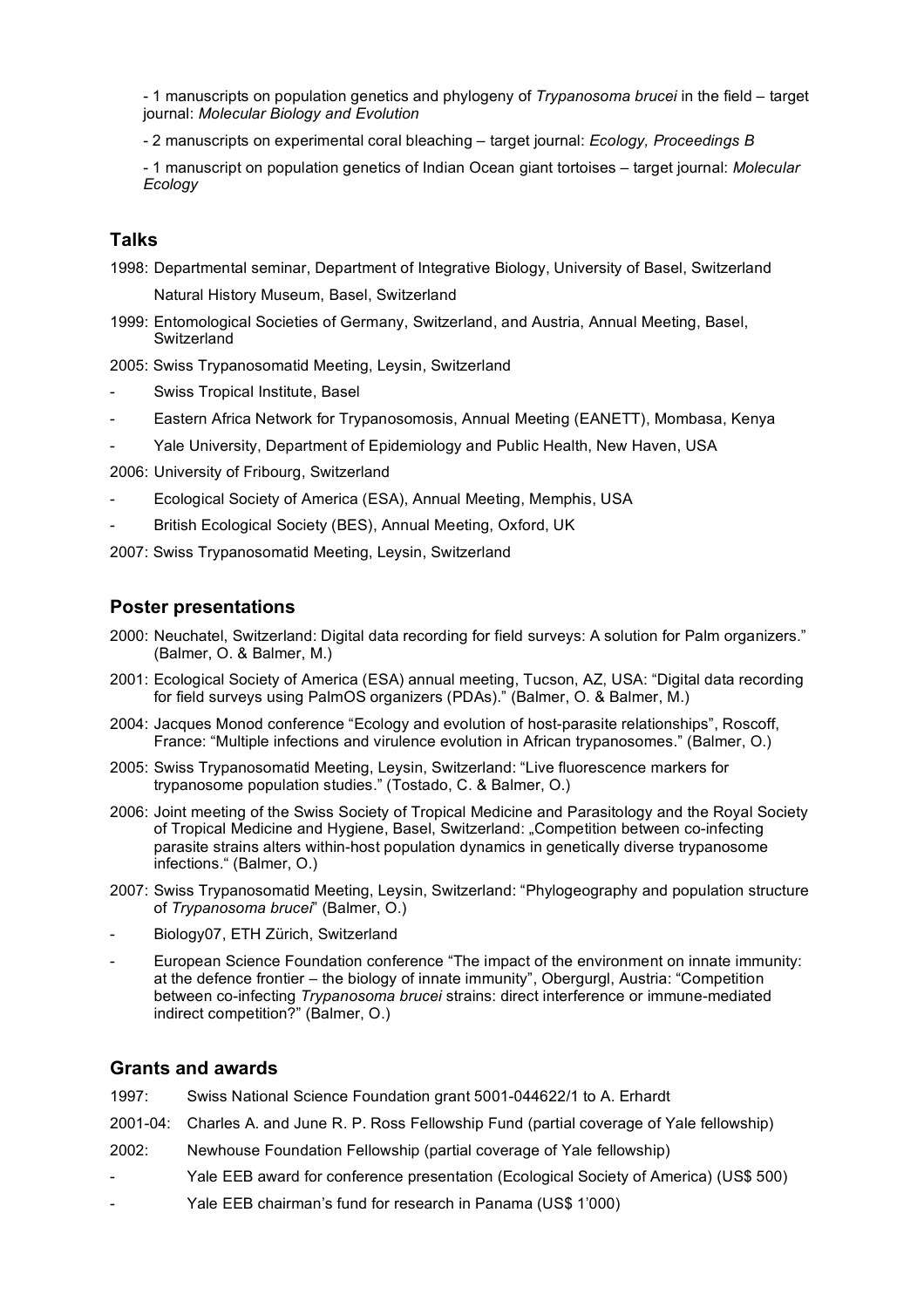- 1 manuscripts on population genetics and phylogeny of *Trypanosoma brucei* in the field – target journal: *Molecular Biology and Evolution*

- 2 manuscripts on experimental coral bleaching – target journal: *Ecology, Proceedings B*

- 1 manuscript on population genetics of Indian Ocean giant tortoises – target journal: *Molecular Ecology*

#### **Talks**

1998: Departmental seminar, Department of Integrative Biology, University of Basel, Switzerland Natural History Museum, Basel, Switzerland

1999: Entomological Societies of Germany, Switzerland, and Austria, Annual Meeting, Basel, Switzerland

2005: Swiss Trypanosomatid Meeting, Leysin, Switzerland

- Swiss Tropical Institute, Basel
- Eastern Africa Network for Trypanosomosis, Annual Meeting (EANETT), Mombasa, Kenya
- Yale University, Department of Epidemiology and Public Health, New Haven, USA

2006: University of Fribourg, Switzerland

- Ecological Society of America (ESA), Annual Meeting, Memphis, USA
- British Ecological Society (BES), Annual Meeting, Oxford, UK
- 2007: Swiss Trypanosomatid Meeting, Leysin, Switzerland

#### **Poster presentations**

- 2000: Neuchatel, Switzerland: Digital data recording for field surveys: A solution for Palm organizers." (Balmer, O. & Balmer, M.)
- 2001: Ecological Society of America (ESA) annual meeting, Tucson, AZ, USA: "Digital data recording for field surveys using PalmOS organizers (PDAs)." (Balmer, O. & Balmer, M.)
- 2004: Jacques Monod conference "Ecology and evolution of host-parasite relationships", Roscoff, France: "Multiple infections and virulence evolution in African trypanosomes." (Balmer, O.)
- 2005: Swiss Trypanosomatid Meeting, Leysin, Switzerland: "Live fluorescence markers for trypanosome population studies." (Tostado, C. & Balmer, O.)
- 2006: Joint meeting of the Swiss Society of Tropical Medicine and Parasitology and the Royal Society of Tropical Medicine and Hygiene, Basel, Switzerland: "Competition between co-infecting parasite strains alters within-host population dynamics in genetically diverse trypanosome infections." (Balmer, O.)
- 2007: Swiss Trypanosomatid Meeting, Leysin, Switzerland: "Phylogeography and population structure of *Trypanosoma brucei*" (Balmer, O.)
- Biology07, ETH Zürich, Switzerland
- European Science Foundation conference "The impact of the environment on innate immunity: at the defence frontier – the biology of innate immunity", Obergurgl, Austria: "Competition between co-infecting *Trypanosoma brucei* strains: direct interference or immune-mediated indirect competition?" (Balmer, O.)

#### **Grants and awards**

- 1997: Swiss National Science Foundation grant 5001-044622/1 to A. Erhardt
- 2001-04: Charles A. and June R. P. Ross Fellowship Fund (partial coverage of Yale fellowship)
- 2002: Newhouse Foundation Fellowship (partial coverage of Yale fellowship)
- Yale EEB award for conference presentation (Ecological Society of America) (US\$ 500)
- Yale EEB chairman's fund for research in Panama (US\$ 1'000)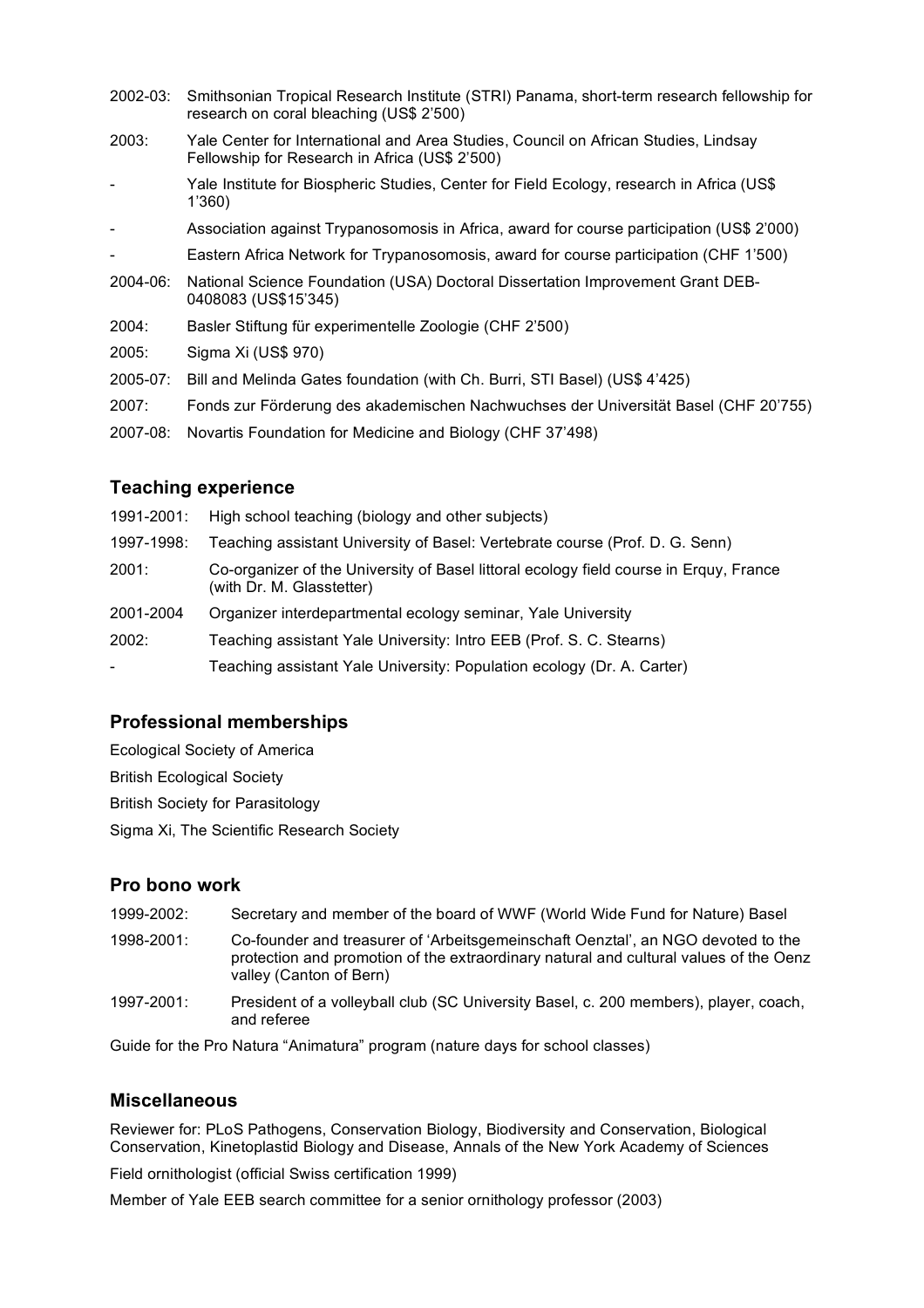| $2002 - 03$ : | Smithsonian Tropical Research Institute (STRI) Panama, short-term research fellowship for<br>research on coral bleaching (US\$ 2'500) |
|---------------|---------------------------------------------------------------------------------------------------------------------------------------|
| 2003:         | Yale Center for International and Area Studies, Council on African Studies, Lindsay<br>Fellowship for Research in Africa (US\$ 2'500) |
|               | Yale Institute for Biospheric Studies, Center for Field Ecology, research in Africa (US\$<br>1'360)                                   |
| -             | Association against Trypanosomosis in Africa, award for course participation (US\$ 2'000)                                             |
|               | Eastern Africa Network for Trypanosomosis, award for course participation (CHF 1'500)                                                 |
| $2004 - 06$ : | National Science Foundation (USA) Doctoral Dissertation Improvement Grant DEB-<br>0408083 (US\$15'345)                                |
| 2004:         | Basler Stiftung für experimentelle Zoologie (CHF 2'500)                                                                               |
| 2005:         | Sigma Xi (US\$ 970)                                                                                                                   |
| $2005 - 07$ : | Bill and Melinda Gates foundation (with Ch. Burri, STI Basel) (US\$ 4'425)                                                            |
| 2007:         | Fonds zur Förderung des akademischen Nachwuchses der Universität Basel (CHF 20'755)                                                   |
| 2007-08:      | Novartis Foundation for Medicine and Biology (CHF 37'498)                                                                             |

#### **Teaching experience**

| 1991-2001:               | High school teaching (biology and other subjects)                                                                   |
|--------------------------|---------------------------------------------------------------------------------------------------------------------|
| 1997-1998:               | Teaching assistant University of Basel: Vertebrate course (Prof. D. G. Senn)                                        |
| 2001:                    | Co-organizer of the University of Basel littoral ecology field course in Erguy, France<br>(with Dr. M. Glasstetter) |
| 2001-2004                | Organizer interdepartmental ecology seminar, Yale University                                                        |
| 2002:                    | Teaching assistant Yale University: Intro EEB (Prof. S. C. Stearns)                                                 |
| $\overline{\phantom{0}}$ | Teaching assistant Yale University: Population ecology (Dr. A. Carter)                                              |

## **Professional memberships**

Ecological Society of America British Ecological Society

British Society for Parasitology

Sigma Xi, The Scientific Research Society

#### **Pro bono work**

- 1999-2002: Secretary and member of the board of WWF (World Wide Fund for Nature) Basel
- 1998-2001: Co-founder and treasurer of 'Arbeitsgemeinschaft Oenztal', an NGO devoted to the protection and promotion of the extraordinary natural and cultural values of the Oenz valley (Canton of Bern)
- 1997-2001: President of a volleyball club (SC University Basel, c. 200 members), player, coach, and referee

Guide for the Pro Natura "Animatura" program (nature days for school classes)

#### **Miscellaneous**

Reviewer for: PLoS Pathogens, Conservation Biology, Biodiversity and Conservation, Biological Conservation, Kinetoplastid Biology and Disease, Annals of the New York Academy of Sciences

Field ornithologist (official Swiss certification 1999)

Member of Yale EEB search committee for a senior ornithology professor (2003)